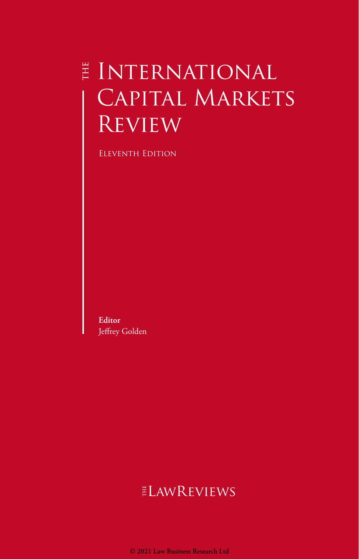## E INTERNATIONAL Capital Markets **REVIEW**

Eleventh Edition

**Editor** Jeffrey Golden

### ELAWREVIEWS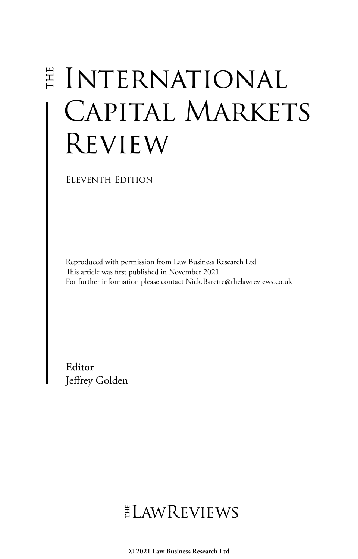# $\ddot{\Xi}$  INTERNATIONAL Capital Markets Review

Eleventh Edition

Reproduced with permission from Law Business Research Ltd This article was first published in November 2021 For further information please contact Nick.Barette@thelawreviews.co.uk

**Editor** Jeffrey Golden

ELAWREVIEWS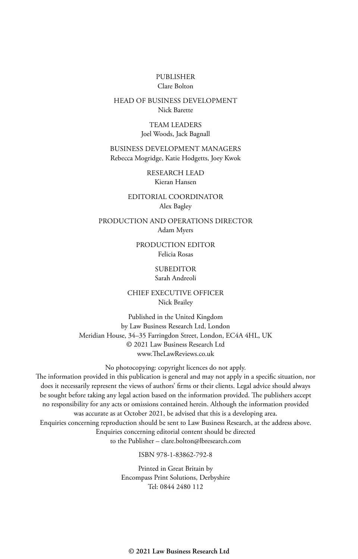#### PUBLISHER Clare Bolton

#### HEAD OF BUSINESS DEVELOPMENT Nick Barette

TEAM LEADERS Joel Woods, Jack Bagnall

BUSINESS DEVELOPMENT MANAGERS Rebecca Mogridge, Katie Hodgetts, Joey Kwok

> RESEARCH LEAD Kieran Hansen

EDITORIAL COORDINATOR Alex Bagley

PRODUCTION AND OPERATIONS DIRECTOR Adam Myers

> PRODUCTION EDITOR Felicia Rosas

#### **SUBEDITOR** Sarah Andreoli

CHIEF EXECUTIVE OFFICER Nick Brailey

Published in the United Kingdom by Law Business Research Ltd, London Meridian House, 34–35 Farringdon Street, London, EC4A 4HL, UK © 2021 Law Business Research Ltd www.TheLawReviews.co.uk

No photocopying: copyright licences do not apply. The information provided in this publication is general and may not apply in a specific situation, nor does it necessarily represent the views of authors' firms or their clients. Legal advice should always be sought before taking any legal action based on the information provided. The publishers accept no responsibility for any acts or omissions contained herein. Although the information provided was accurate as at October 2021, be advised that this is a developing area. Enquiries concerning reproduction should be sent to Law Business Research, at the address above. Enquiries concerning editorial content should be directed to the Publisher – clare.bolton@lbresearch.com

ISBN 978-1-83862-792-8

Printed in Great Britain by Encompass Print Solutions, Derbyshire Tel: 0844 2480 112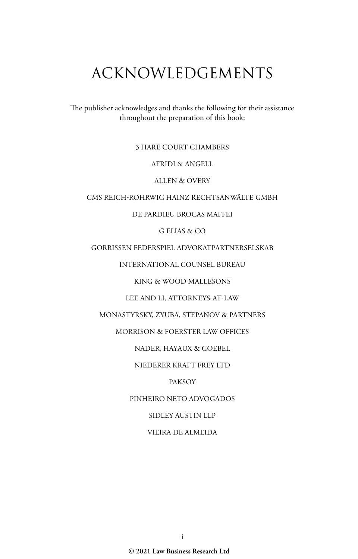### ACKNOWLEDGEMENTS

The publisher acknowledges and thanks the following for their assistance throughout the preparation of this book:

3 HARE COURT CHAMBERS

AFRIDI & ANGELL

ALLEN & OVERY

#### CMS REICH-ROHRWIG HAINZ RECHTSANWÄLTE GMBH

#### DE PARDIEU BROCAS MAFFEI

G ELIAS & CO

#### GORRISSEN FEDERSPIEL ADVOKATPARTNERSELSKAB

INTERNATIONAL COUNSEL BUREAU

KING & WOOD MALLESONS

LEE AND LI, ATTORNEYS-AT-LAW

MONASTYRSKY, ZYUBA, STEPANOV & PARTNERS

MORRISON & FOERSTER LAW OFFICES

NADER, HAYAUX & GOEBEL

NIEDERER KRAFT FREY LTD

PAKSOY

PINHEIRO NETO ADVOGADOS

SIDLEY AUSTIN LLP

VIEIRA DE ALMEIDA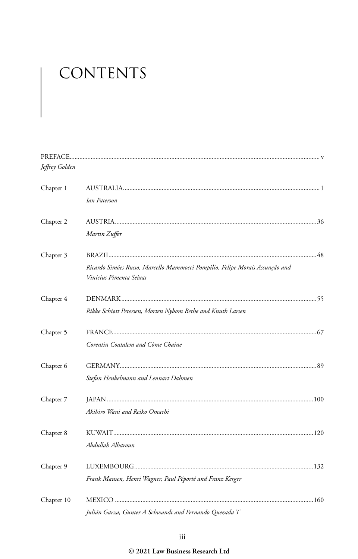### CONTENTS

| Jeffrey Golden |                                                                                                         |  |
|----------------|---------------------------------------------------------------------------------------------------------|--|
| Chapter 1      |                                                                                                         |  |
|                | Ian Paterson                                                                                            |  |
| Chapter 2      |                                                                                                         |  |
|                | Martin Zuffer                                                                                           |  |
| Chapter 3      |                                                                                                         |  |
|                | Ricardo Simões Russo, Marcello Mammocci Pompilio, Felipe Morais Assunção and<br>Vinícius Pimenta Seixas |  |
| Chapter 4      |                                                                                                         |  |
|                | Rikke Schiøtt Petersen, Morten Nybom Bethe and Knuth Larsen                                             |  |
| Chapter 5      |                                                                                                         |  |
|                | Corentin Coatalem and Côme Chaine                                                                       |  |
| Chapter 6      |                                                                                                         |  |
|                | Stefan Henkelmann and Lennart Dahmen                                                                    |  |
| Chapter 7      |                                                                                                         |  |
|                | Akihiro Wani and Reiko Omachi                                                                           |  |
| Chapter 8      |                                                                                                         |  |
|                | Abdullah Alharoun                                                                                       |  |
| Chapter 9      |                                                                                                         |  |
|                | Frank Mausen, Henri Wagner, Paul Péporté and Franz Kerger                                               |  |
| Chapter 10     |                                                                                                         |  |
|                | Iulián Garza, Gunter A Schwandt and Fernando Quezada T                                                  |  |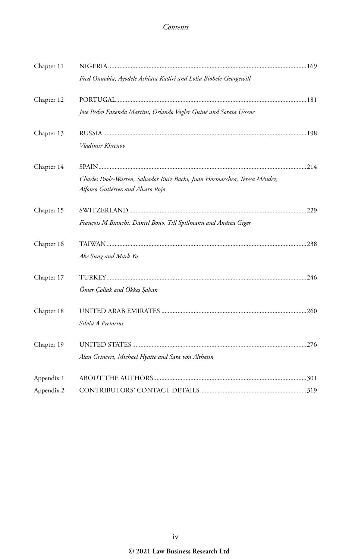| Chapter 11 |                                                                                                                 |  |
|------------|-----------------------------------------------------------------------------------------------------------------|--|
|            | Fred Onuobia, Ayodele Ashiata Kadiri and Lolia Biobele-Georgewill                                               |  |
| Chapter 12 |                                                                                                                 |  |
|            | José Pedro Fazenda Martins, Orlando Vogler Guiné and Soraia Ussene                                              |  |
| Chapter 13 |                                                                                                                 |  |
|            | Vladimir Khrenov                                                                                                |  |
| Chapter 14 |                                                                                                                 |  |
|            | Charles Poole-Warren, Salvador Ruiz Bachs, Juan Hormaechea, Teresa Méndez,<br>Alfonso Gutiérrez and Álvaro Rojo |  |
| Chapter 15 |                                                                                                                 |  |
|            | François M Bianchi, Daniel Bono, Till Spillmann and Andrea Giger                                                |  |
| Chapter 16 |                                                                                                                 |  |
|            | Abe Sung and Mark Yu                                                                                            |  |
| Chapter 17 |                                                                                                                 |  |
|            | Ömer Çollak and Ökkeş Şahan                                                                                     |  |
| Chapter 18 |                                                                                                                 |  |
|            | Silvia A Pretorius                                                                                              |  |
| Chapter 19 |                                                                                                                 |  |
|            | Alan Grinceri, Michael Hyatte and Sara von Althann                                                              |  |
| Appendix 1 |                                                                                                                 |  |
| Appendix 2 |                                                                                                                 |  |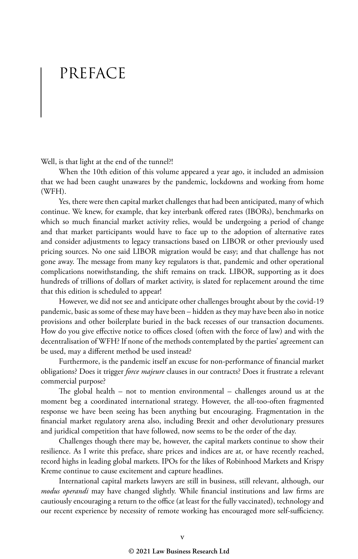### PREFACE

Well, is that light at the end of the tunnel?!

When the 10th edition of this volume appeared a year ago, it included an admission that we had been caught unawares by the pandemic, lockdowns and working from home (WFH).

Yes, there were then capital market challenges that had been anticipated, many of which continue. We knew, for example, that key interbank offered rates (IBORs), benchmarks on which so much financial market activity relies, would be undergoing a period of change and that market participants would have to face up to the adoption of alternative rates and consider adjustments to legacy transactions based on LIBOR or other previously used pricing sources. No one said LIBOR migration would be easy; and that challenge has not gone away. The message from many key regulators is that, pandemic and other operational complications notwithstanding, the shift remains on track. LIBOR, supporting as it does hundreds of trillions of dollars of market activity, is slated for replacement around the time that this edition is scheduled to appear!

However, we did not see and anticipate other challenges brought about by the covid-19 pandemic, basic as some of these may have been – hidden as they may have been also in notice provisions and other boilerplate buried in the back recesses of our transaction documents. How do you give effective notice to offices closed (often with the force of law) and with the decentralisation of WFH? If none of the methods contemplated by the parties' agreement can be used, may a different method be used instead?

Furthermore, is the pandemic itself an excuse for non-performance of financial market obligations? Does it trigger *force majeure* clauses in our contracts? Does it frustrate a relevant commercial purpose?

The global health – not to mention environmental – challenges around us at the moment beg a coordinated international strategy. However, the all-too-often fragmented response we have been seeing has been anything but encouraging. Fragmentation in the financial market regulatory arena also, including Brexit and other devolutionary pressures and juridical competition that have followed, now seems to be the order of the day.

Challenges though there may be, however, the capital markets continue to show their resilience. As I write this preface, share prices and indices are at, or have recently reached, record highs in leading global markets. IPOs for the likes of Robinhood Markets and Krispy Kreme continue to cause excitement and capture headlines.

International capital markets lawyers are still in business, still relevant, although, our *modus operandi* may have changed slightly. While financial institutions and law firms are cautiously encouraging a return to the office (at least for the fully vaccinated), technology and our recent experience by necessity of remote working has encouraged more self-sufficiency.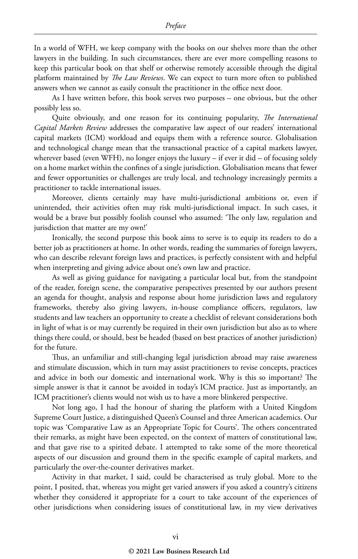In a world of WFH, we keep company with the books on our shelves more than the other lawyers in the building. In such circumstances, there are ever more compelling reasons to keep this particular book on that shelf or otherwise remotely accessible through the digital platform maintained by *The Law Reviews*. We can expect to turn more often to published answers when we cannot as easily consult the practitioner in the office next door.

As I have written before, this book serves two purposes – one obvious, but the other possibly less so.

Quite obviously, and one reason for its continuing popularity, *The International Capital Markets Review* addresses the comparative law aspect of our readers' international capital markets (ICM) workload and equips them with a reference source. Globalisation and technological change mean that the transactional practice of a capital markets lawyer, wherever based (even WFH), no longer enjoys the luxury – if ever it did – of focusing solely on a home market within the confines of a single jurisdiction. Globalisation means that fewer and fewer opportunities or challenges are truly local, and technology increasingly permits a practitioner to tackle international issues.

Moreover, clients certainly may have multi-jurisdictional ambitions or, even if unintended, their activities often may risk multi-jurisdictional impact. In such cases, it would be a brave but possibly foolish counsel who assumed: 'The only law, regulation and jurisdiction that matter are my own!'

Ironically, the second purpose this book aims to serve is to equip its readers to do a better job as practitioners at home. In other words, reading the summaries of foreign lawyers, who can describe relevant foreign laws and practices, is perfectly consistent with and helpful when interpreting and giving advice about one's own law and practice.

As well as giving guidance for navigating a particular local but, from the standpoint of the reader, foreign scene, the comparative perspectives presented by our authors present an agenda for thought, analysis and response about home jurisdiction laws and regulatory frameworks, thereby also giving lawyers, in-house compliance officers, regulators, law students and law teachers an opportunity to create a checklist of relevant considerations both in light of what is or may currently be required in their own jurisdiction but also as to where things there could, or should, best be headed (based on best practices of another jurisdiction) for the future.

Thus, an unfamiliar and still-changing legal jurisdiction abroad may raise awareness and stimulate discussion, which in turn may assist practitioners to revise concepts, practices and advice in both our domestic and international work. Why is this so important? The simple answer is that it cannot be avoided in today's ICM practice. Just as importantly, an ICM practitioner's clients would not wish us to have a more blinkered perspective.

Not long ago, I had the honour of sharing the platform with a United Kingdom Supreme Court Justice, a distinguished Queen's Counsel and three American academics. Our topic was 'Comparative Law as an Appropriate Topic for Courts'. The others concentrated their remarks, as might have been expected, on the context of matters of constitutional law, and that gave rise to a spirited debate. I attempted to take some of the more theoretical aspects of our discussion and ground them in the specific example of capital markets, and particularly the over-the-counter derivatives market.

Activity in that market, I said, could be characterised as truly global. More to the point, I posited, that, whereas you might get varied answers if you asked a country's citizens whether they considered it appropriate for a court to take account of the experiences of other jurisdictions when considering issues of constitutional law, in my view derivatives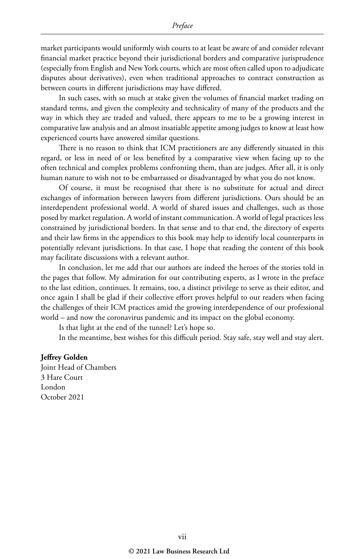market participants would uniformly wish courts to at least be aware of and consider relevant financial market practice beyond their jurisdictional borders and comparative jurisprudence (especially from English and New York courts, which are most often called upon to adjudicate disputes about derivatives), even when traditional approaches to contract construction as between courts in different jurisdictions may have differed.

In such cases, with so much at stake given the volumes of financial market trading on standard terms, and given the complexity and technicality of many of the products and the way in which they are traded and valued, there appears to me to be a growing interest in comparative law analysis and an almost insatiable appetite among judges to know at least how experienced courts have answered similar questions.

There is no reason to think that ICM practitioners are any differently situated in this regard, or less in need of or less benefited by a comparative view when facing up to the often technical and complex problems confronting them, than are judges. After all, it is only human nature to wish not to be embarrassed or disadvantaged by what you do not know.

Of course, it must be recognised that there is no substitute for actual and direct exchanges of information between lawyers from different jurisdictions. Ours should be an interdependent professional world. A world of shared issues and challenges, such as those posed by market regulation. A world of instant communication. A world of legal practices less constrained by jurisdictional borders. In that sense and to that end, the directory of experts and their law firms in the appendices to this book may help to identify local counterparts in potentially relevant jurisdictions. In that case, I hope that reading the content of this book may facilitate discussions with a relevant author.

In conclusion, let me add that our authors are indeed the heroes of the stories told in the pages that follow. My admiration for our contributing experts, as I wrote in the preface to the last edition, continues. It remains, too, a distinct privilege to serve as their editor, and once again I shall be glad if their collective effort proves helpful to our readers when facing the challenges of their ICM practices amid the growing interdependence of our professional world – and now the coronavirus pandemic and its impact on the global economy.

Is that light at the end of the tunnel? Let's hope so.

In the meantime, best wishes for this difficult period. Stay safe, stay well and stay alert.

#### **Jeffrey Golden**

Joint Head of Chambers 3 Hare Court London October 2021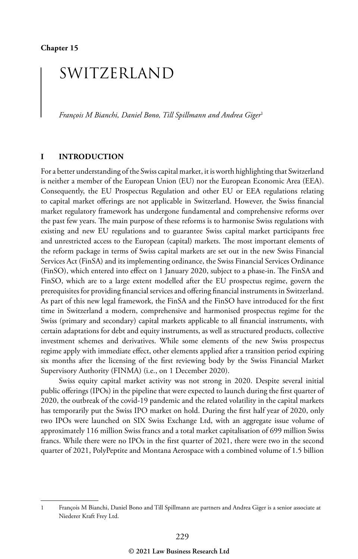### SWITZERLAND

*François M Bianchi, Daniel Bono, Till Spillmann and Andrea Giger*<sup>1</sup>

#### **I INTRODUCTION**

For a better understanding of the Swiss capital market, it is worth highlighting that Switzerland is neither a member of the European Union (EU) nor the European Economic Area (EEA). Consequently, the EU Prospectus Regulation and other EU or EEA regulations relating to capital market offerings are not applicable in Switzerland. However, the Swiss financial market regulatory framework has undergone fundamental and comprehensive reforms over the past few years. The main purpose of these reforms is to harmonise Swiss regulations with existing and new EU regulations and to guarantee Swiss capital market participants free and unrestricted access to the European (capital) markets. The most important elements of the reform package in terms of Swiss capital markets are set out in the new Swiss Financial Services Act (FinSA) and its implementing ordinance, the Swiss Financial Services Ordinance (FinSO), which entered into effect on 1 January 2020, subject to a phase-in. The FinSA and FinSO, which are to a large extent modelled after the EU prospectus regime, govern the prerequisites for providing financial services and offering financial instruments in Switzerland. As part of this new legal framework, the FinSA and the FinSO have introduced for the first time in Switzerland a modern, comprehensive and harmonised prospectus regime for the Swiss (primary and secondary) capital markets applicable to all financial instruments, with certain adaptations for debt and equity instruments, as well as structured products, collective investment schemes and derivatives. While some elements of the new Swiss prospectus regime apply with immediate effect, other elements applied after a transition period expiring six months after the licensing of the first reviewing body by the Swiss Financial Market Supervisory Authority (FINMA) (i.e., on 1 December 2020).

Swiss equity capital market activity was not strong in 2020. Despite several initial public offerings (IPOs) in the pipeline that were expected to launch during the first quarter of 2020, the outbreak of the covid-19 pandemic and the related volatility in the capital markets has temporarily put the Swiss IPO market on hold. During the first half year of 2020, only two IPOs were launched on SIX Swiss Exchange Ltd, with an aggregate issue volume of approximately 116 million Swiss francs and a total market capitalisation of 699 million Swiss francs. While there were no IPOs in the first quarter of 2021, there were two in the second quarter of 2021, PolyPeptite and Montana Aerospace with a combined volume of 1.5 billion

<sup>1</sup> François M Bianchi, Daniel Bono and Till Spillmann are partners and Andrea Giger is a senior associate at Niederer Kraft Frey Ltd.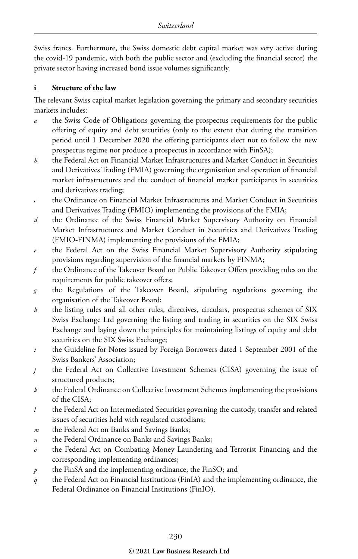Swiss francs. Furthermore, the Swiss domestic debt capital market was very active during the covid-19 pandemic, with both the public sector and (excluding the financial sector) the private sector having increased bond issue volumes significantly.

#### **i Structure of the law**

The relevant Swiss capital market legislation governing the primary and secondary securities markets includes:

- *a* the Swiss Code of Obligations governing the prospectus requirements for the public offering of equity and debt securities (only to the extent that during the transition period until 1 December 2020 the offering participants elect not to follow the new prospectus regime nor produce a prospectus in accordance with FinSA);
- *b* the Federal Act on Financial Market Infrastructures and Market Conduct in Securities and Derivatives Trading (FMIA) governing the organisation and operation of financial market infrastructures and the conduct of financial market participants in securities and derivatives trading;
- *c* the Ordinance on Financial Market Infrastructures and Market Conduct in Securities and Derivatives Trading (FMIO) implementing the provisions of the FMIA;
- *d* the Ordinance of the Swiss Financial Market Supervisory Authority on Financial Market Infrastructures and Market Conduct in Securities and Derivatives Trading (FMIO-FINMA) implementing the provisions of the FMIA;
- *e* the Federal Act on the Swiss Financial Market Supervisory Authority stipulating provisions regarding supervision of the financial markets by FINMA;
- *f* the Ordinance of the Takeover Board on Public Takeover Offers providing rules on the requirements for public takeover offers;
- *g* the Regulations of the Takeover Board, stipulating regulations governing the organisation of the Takeover Board;
- *h* the listing rules and all other rules, directives, circulars, prospectus schemes of SIX Swiss Exchange Ltd governing the listing and trading in securities on the SIX Swiss Exchange and laying down the principles for maintaining listings of equity and debt securities on the SIX Swiss Exchange;
- *i* the Guideline for Notes issued by Foreign Borrowers dated 1 September 2001 of the Swiss Bankers' Association;
- *j* the Federal Act on Collective Investment Schemes (CISA) governing the issue of structured products;
- *k* the Federal Ordinance on Collective Investment Schemes implementing the provisions of the CISA;
- *l* the Federal Act on Intermediated Securities governing the custody, transfer and related issues of securities held with regulated custodians;
- *m* the Federal Act on Banks and Savings Banks;
- *n* the Federal Ordinance on Banks and Savings Banks;
- *o* the Federal Act on Combating Money Laundering and Terrorist Financing and the corresponding implementing ordinances;
- *p* the FinSA and the implementing ordinance, the FinSO; and
- *q* the Federal Act on Financial Institutions (FinIA) and the implementing ordinance, the Federal Ordinance on Financial Institutions (FinIO).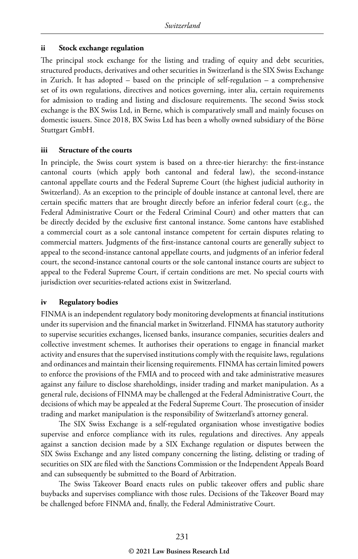#### **ii Stock exchange regulation**

The principal stock exchange for the listing and trading of equity and debt securities, structured products, derivatives and other securities in Switzerland is the SIX Swiss Exchange in Zurich. It has adopted – based on the principle of self-regulation – a comprehensive set of its own regulations, directives and notices governing, inter alia, certain requirements for admission to trading and listing and disclosure requirements. The second Swiss stock exchange is the BX Swiss Ltd, in Berne, which is comparatively small and mainly focuses on domestic issuers. Since 2018, BX Swiss Ltd has been a wholly owned subsidiary of the Börse Stuttgart GmbH.

#### **iii Structure of the courts**

In principle, the Swiss court system is based on a three-tier hierarchy: the first-instance cantonal courts (which apply both cantonal and federal law), the second-instance cantonal appellate courts and the Federal Supreme Court (the highest judicial authority in Switzerland). As an exception to the principle of double instance at cantonal level, there are certain specific matters that are brought directly before an inferior federal court (e.g., the Federal Administrative Court or the Federal Criminal Court) and other matters that can be directly decided by the exclusive first cantonal instance. Some cantons have established a commercial court as a sole cantonal instance competent for certain disputes relating to commercial matters. Judgments of the first-instance cantonal courts are generally subject to appeal to the second-instance cantonal appellate courts, and judgments of an inferior federal court, the second-instance cantonal courts or the sole cantonal instance courts are subject to appeal to the Federal Supreme Court, if certain conditions are met. No special courts with jurisdiction over securities-related actions exist in Switzerland.

#### **iv Regulatory bodies**

FINMA is an independent regulatory body monitoring developments at financial institutions under its supervision and the financial market in Switzerland. FINMA has statutory authority to supervise securities exchanges, licensed banks, insurance companies, securities dealers and collective investment schemes. It authorises their operations to engage in financial market activity and ensures that the supervised institutions comply with the requisite laws, regulations and ordinances and maintain their licensing requirements. FINMA has certain limited powers to enforce the provisions of the FMIA and to proceed with and take administrative measures against any failure to disclose shareholdings, insider trading and market manipulation. As a general rule, decisions of FINMA may be challenged at the Federal Administrative Court, the decisions of which may be appealed at the Federal Supreme Court. The prosecution of insider trading and market manipulation is the responsibility of Switzerland's attorney general.

The SIX Swiss Exchange is a self-regulated organisation whose investigative bodies supervise and enforce compliance with its rules, regulations and directives. Any appeals against a sanction decision made by a SIX Exchange regulation or disputes between the SIX Swiss Exchange and any listed company concerning the listing, delisting or trading of securities on SIX are filed with the Sanctions Commission or the Independent Appeals Board and can subsequently be submitted to the Board of Arbitration.

The Swiss Takeover Board enacts rules on public takeover offers and public share buybacks and supervises compliance with those rules. Decisions of the Takeover Board may be challenged before FINMA and, finally, the Federal Administrative Court.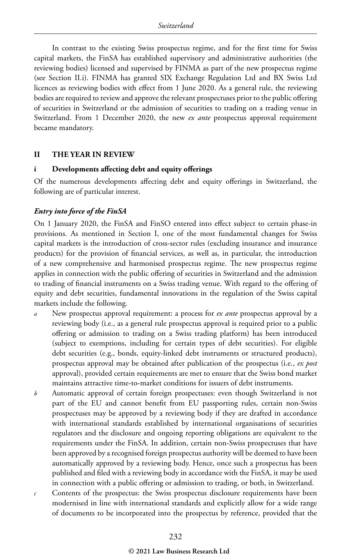In contrast to the existing Swiss prospectus regime, and for the first time for Swiss capital markets, the FinSA has established supervisory and administrative authorities (the reviewing bodies) licensed and supervised by FINMA as part of the new prospectus regime (see Section II.i). FINMA has granted SIX Exchange Regulation Ltd and BX Swiss Ltd licences as reviewing bodies with effect from 1 June 2020. As a general rule, the reviewing bodies are required to review and approve the relevant prospectuses prior to the public offering of securities in Switzerland or the admission of securities to trading on a trading venue in Switzerland. From 1 December 2020, the new *ex ante* prospectus approval requirement became mandatory.

#### **II THE YEAR IN REVIEW**

#### **i Developments affecting debt and equity offerings**

Of the numerous developments affecting debt and equity offerings in Switzerland, the following are of particular interest.

#### *Entry into force of the FinSA*

On 1 January 2020, the FinSA and FinSO entered into effect subject to certain phase-in provisions. As mentioned in Section I, one of the most fundamental changes for Swiss capital markets is the introduction of cross-sector rules (excluding insurance and insurance products) for the provision of financial services, as well as, in particular, the introduction of a new comprehensive and harmonised prospectus regime. The new prospectus regime applies in connection with the public offering of securities in Switzerland and the admission to trading of financial instruments on a Swiss trading venue. With regard to the offering of equity and debt securities, fundamental innovations in the regulation of the Swiss capital markets include the following.

- *a* New prospectus approval requirement: a process for *ex ante* prospectus approval by a reviewing body (i.e., as a general rule prospectus approval is required prior to a public offering or admission to trading on a Swiss trading platform) has been introduced (subject to exemptions, including for certain types of debt securities). For eligible debt securities (e.g., bonds, equity-linked debt instruments or structured products), prospectus approval may be obtained after publication of the prospectus (i.e., *ex post* approval), provided certain requirements are met to ensure that the Swiss bond market maintains attractive time-to-market conditions for issuers of debt instruments.
- *b* Automatic approval of certain foreign prospectuses: even though Switzerland is not part of the EU and cannot benefit from EU passporting rules, certain non-Swiss prospectuses may be approved by a reviewing body if they are drafted in accordance with international standards established by international organisations of securities regulators and the disclosure and ongoing reporting obligations are equivalent to the requirements under the FinSA. In addition, certain non-Swiss prospectuses that have been approved by a recognised foreign prospectus authority will be deemed to have been automatically approved by a reviewing body. Hence, once such a prospectus has been published and filed with a reviewing body in accordance with the FinSA, it may be used in connection with a public offering or admission to trading, or both, in Switzerland.
- *c* Contents of the prospectus: the Swiss prospectus disclosure requirements have been modernised in line with international standards and explicitly allow for a wide range of documents to be incorporated into the prospectus by reference, provided that the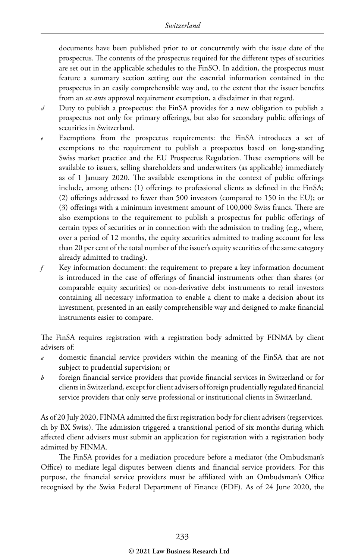documents have been published prior to or concurrently with the issue date of the prospectus. The contents of the prospectus required for the different types of securities are set out in the applicable schedules to the FinSO. In addition, the prospectus must feature a summary section setting out the essential information contained in the prospectus in an easily comprehensible way and, to the extent that the issuer benefits from an *ex ante* approval requirement exemption, a disclaimer in that regard.

- *d* Duty to publish a prospectus: the FinSA provides for a new obligation to publish a prospectus not only for primary offerings, but also for secondary public offerings of securities in Switzerland.
- Exemptions from the prospectus requirements: the FinSA introduces a set of exemptions to the requirement to publish a prospectus based on long-standing Swiss market practice and the EU Prospectus Regulation. These exemptions will be available to issuers, selling shareholders and underwriters (as applicable) immediately as of 1 January 2020. The available exemptions in the context of public offerings include, among others: (1) offerings to professional clients as defined in the FinSA; (2) offerings addressed to fewer than 500 investors (compared to 150 in the EU); or (3) offerings with a minimum investment amount of 100,000 Swiss francs. There are also exemptions to the requirement to publish a prospectus for public offerings of certain types of securities or in connection with the admission to trading (e.g., where, over a period of 12 months, the equity securities admitted to trading account for less than 20 per cent of the total number of the issuer's equity securities of the same category already admitted to trading).
- *f* Key information document: the requirement to prepare a key information document is introduced in the case of offerings of financial instruments other than shares (or comparable equity securities) or non-derivative debt instruments to retail investors containing all necessary information to enable a client to make a decision about its investment, presented in an easily comprehensible way and designed to make financial instruments easier to compare.

The FinSA requires registration with a registration body admitted by FINMA by client advisers of:

- *a* domestic financial service providers within the meaning of the FinSA that are not subject to prudential supervision; or
- *b* foreign financial service providers that provide financial services in Switzerland or for clients in Switzerland, except for client advisers of foreign prudentially regulated financial service providers that only serve professional or institutional clients in Switzerland.

As of 20 July 2020, FINMA admitted the first registration body for client advisers (regservices. ch by BX Swiss). The admission triggered a transitional period of six months during which affected client advisers must submit an application for registration with a registration body admitted by FINMA.

The FinSA provides for a mediation procedure before a mediator (the Ombudsman's Office) to mediate legal disputes between clients and financial service providers. For this purpose, the financial service providers must be affiliated with an Ombudsman's Office recognised by the Swiss Federal Department of Finance (FDF). As of 24 June 2020, the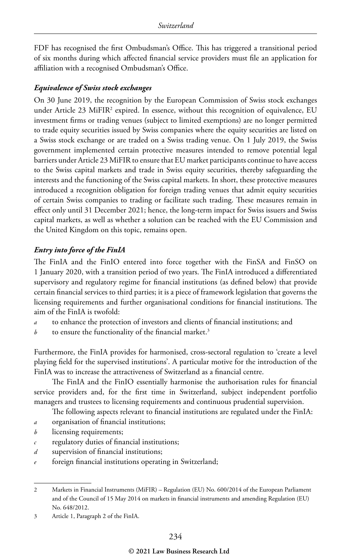FDF has recognised the first Ombudsman's Office. This has triggered a transitional period of six months during which affected financial service providers must file an application for affiliation with a recognised Ombudsman's Office.

#### *Equivalence of Swiss stock exchanges*

On 30 June 2019, the recognition by the European Commission of Swiss stock exchanges under Article 23 MiFIR<sup>2</sup> expired. In essence, without this recognition of equivalence, EU investment firms or trading venues (subject to limited exemptions) are no longer permitted to trade equity securities issued by Swiss companies where the equity securities are listed on a Swiss stock exchange or are traded on a Swiss trading venue. On 1 July 2019, the Swiss government implemented certain protective measures intended to remove potential legal barriers under Article 23 MiFIR to ensure that EU market participants continue to have access to the Swiss capital markets and trade in Swiss equity securities, thereby safeguarding the interests and the functioning of the Swiss capital markets. In short, these protective measures introduced a recognition obligation for foreign trading venues that admit equity securities of certain Swiss companies to trading or facilitate such trading. These measures remain in effect only until 31 December 2021; hence, the long-term impact for Swiss issuers and Swiss capital markets, as well as whether a solution can be reached with the EU Commission and the United Kingdom on this topic, remains open.

#### *Entry into force of the FinIA*

The FinIA and the FinIO entered into force together with the FinSA and FinSO on 1 January 2020, with a transition period of two years. The FinIA introduced a differentiated supervisory and regulatory regime for financial institutions (as defined below) that provide certain financial services to third parties; it is a piece of framework legislation that governs the licensing requirements and further organisational conditions for financial institutions. The aim of the FinIA is twofold:

- *a* to enhance the protection of investors and clients of financial institutions; and
- *b* to ensure the functionality of the financial market.<sup>3</sup>

Furthermore, the FinIA provides for harmonised, cross-sectoral regulation to 'create a level playing field for the supervised institutions'. A particular motive for the introduction of the FinIA was to increase the attractiveness of Switzerland as a financial centre.

The FinIA and the FinIO essentially harmonise the authorisation rules for financial service providers and, for the first time in Switzerland, subject independent portfolio managers and trustees to licensing requirements and continuous prudential supervision.

The following aspects relevant to financial institutions are regulated under the FinIA:

- *a* organisation of financial institutions;
- *b* licensing requirements;
- *c* regulatory duties of financial institutions;
- *d* supervision of financial institutions;
- foreign financial institutions operating in Switzerland;

<sup>2</sup> Markets in Financial Instruments (MiFIR) – Regulation (EU) No. 600/2014 of the European Parliament and of the Council of 15 May 2014 on markets in financial instruments and amending Regulation (EU) No. 648/2012.

<sup>3</sup> Article 1, Paragraph 2 of the FinIA.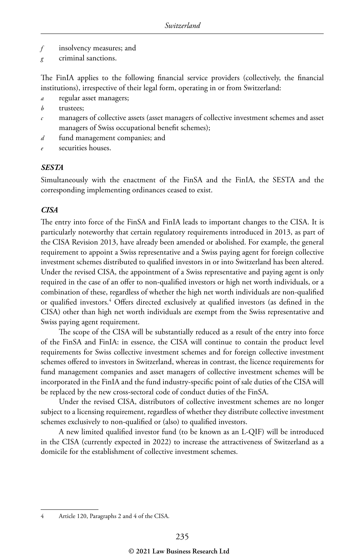- *f* insolvency measures; and
- *g* criminal sanctions.

The FinIA applies to the following financial service providers (collectively, the financial institutions), irrespective of their legal form, operating in or from Switzerland:

- regular asset managers;
- *b* trustees;
- *c* managers of collective assets (asset managers of collective investment schemes and asset managers of Swiss occupational benefit schemes);
- *d* fund management companies; and
- *e* securities houses.

#### *SESTA*

Simultaneously with the enactment of the FinSA and the FinIA, the SESTA and the corresponding implementing ordinances ceased to exist.

#### *CISA*

The entry into force of the FinSA and FinIA leads to important changes to the CISA. It is particularly noteworthy that certain regulatory requirements introduced in 2013, as part of the CISA Revision 2013, have already been amended or abolished. For example, the general requirement to appoint a Swiss representative and a Swiss paying agent for foreign collective investment schemes distributed to qualified investors in or into Switzerland has been altered. Under the revised CISA, the appointment of a Swiss representative and paying agent is only required in the case of an offer to non-qualified investors or high net worth individuals, or a combination of these, regardless of whether the high net worth individuals are non-qualified or qualified investors.<sup>4</sup> Offers directed exclusively at qualified investors (as defined in the CISA) other than high net worth individuals are exempt from the Swiss representative and Swiss paying agent requirement.

The scope of the CISA will be substantially reduced as a result of the entry into force of the FinSA and FinIA: in essence, the CISA will continue to contain the product level requirements for Swiss collective investment schemes and for foreign collective investment schemes offered to investors in Switzerland, whereas in contrast, the licence requirements for fund management companies and asset managers of collective investment schemes will be incorporated in the FinIA and the fund industry-specific point of sale duties of the CISA will be replaced by the new cross-sectoral code of conduct duties of the FinSA.

Under the revised CISA, distributors of collective investment schemes are no longer subject to a licensing requirement, regardless of whether they distribute collective investment schemes exclusively to non-qualified or (also) to qualified investors.

A new limited qualified investor fund (to be known as an L-QIF) will be introduced in the CISA (currently expected in 2022) to increase the attractiveness of Switzerland as a domicile for the establishment of collective investment schemes.

4 Article 120, Paragraphs 2 and 4 of the CISA.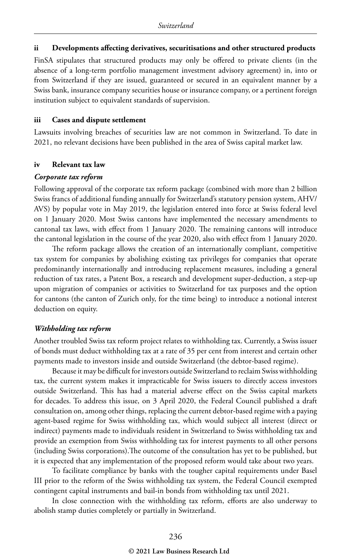#### **ii Developments affecting derivatives, securitisations and other structured products**

FinSA stipulates that structured products may only be offered to private clients (in the absence of a long-term portfolio management investment advisory agreement) in, into or from Switzerland if they are issued, guaranteed or secured in an equivalent manner by a Swiss bank, insurance company securities house or insurance company, or a pertinent foreign institution subject to equivalent standards of supervision.

#### **iii Cases and dispute settlement**

Lawsuits involving breaches of securities law are not common in Switzerland. To date in 2021, no relevant decisions have been published in the area of Swiss capital market law.

#### **iv Relevant tax law**

#### *Corporate tax reform*

Following approval of the corporate tax reform package (combined with more than 2 billion Swiss francs of additional funding annually for Switzerland's statutory pension system, AHV/ AVS) by popular vote in May 2019, the legislation entered into force at Swiss federal level on 1 January 2020. Most Swiss cantons have implemented the necessary amendments to cantonal tax laws, with effect from 1 January 2020. The remaining cantons will introduce the cantonal legislation in the course of the year 2020, also with effect from 1 January 2020.

The reform package allows the creation of an internationally compliant, competitive tax system for companies by abolishing existing tax privileges for companies that operate predominantly internationally and introducing replacement measures, including a general reduction of tax rates, a Patent Box, a research and development super-deduction, a step-up upon migration of companies or activities to Switzerland for tax purposes and the option for cantons (the canton of Zurich only, for the time being) to introduce a notional interest deduction on equity.

#### *Withholding tax reform*

Another troubled Swiss tax reform project relates to withholding tax. Currently, a Swiss issuer of bonds must deduct withholding tax at a rate of 35 per cent from interest and certain other payments made to investors inside and outside Switzerland (the debtor-based regime).

Because it may be difficult for investors outside Switzerland to reclaim Swiss withholding tax, the current system makes it impracticable for Swiss issuers to directly access investors outside Switzerland. This has had a material adverse effect on the Swiss capital markets for decades. To address this issue, on 3 April 2020, the Federal Council published a draft consultation on, among other things, replacing the current debtor-based regime with a paying agent-based regime for Swiss withholding tax, which would subject all interest (direct or indirect) payments made to individuals resident in Switzerland to Swiss withholding tax and provide an exemption from Swiss withholding tax for interest payments to all other persons (including Swiss corporations).The outcome of the consultation has yet to be published, but it is expected that any implementation of the proposed reform would take about two years.

To facilitate compliance by banks with the tougher capital requirements under Basel III prior to the reform of the Swiss withholding tax system, the Federal Council exempted contingent capital instruments and bail-in bonds from withholding tax until 2021.

In close connection with the withholding tax reform, efforts are also underway to abolish stamp duties completely or partially in Switzerland.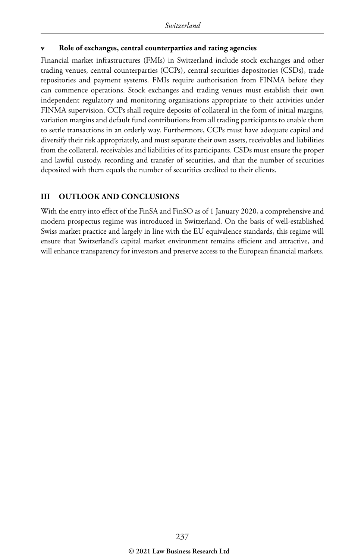#### **v Role of exchanges, central counterparties and rating agencies**

Financial market infrastructures (FMIs) in Switzerland include stock exchanges and other trading venues, central counterparties (CCPs), central securities depositories (CSDs), trade repositories and payment systems. FMIs require authorisation from FINMA before they can commence operations. Stock exchanges and trading venues must establish their own independent regulatory and monitoring organisations appropriate to their activities under FINMA supervision. CCPs shall require deposits of collateral in the form of initial margins, variation margins and default fund contributions from all trading participants to enable them to settle transactions in an orderly way. Furthermore, CCPs must have adequate capital and diversify their risk appropriately, and must separate their own assets, receivables and liabilities from the collateral, receivables and liabilities of its participants. CSDs must ensure the proper and lawful custody, recording and transfer of securities, and that the number of securities deposited with them equals the number of securities credited to their clients.

#### **III OUTLOOK AND CONCLUSIONS**

With the entry into effect of the FinSA and FinSO as of 1 January 2020, a comprehensive and modern prospectus regime was introduced in Switzerland. On the basis of well-established Swiss market practice and largely in line with the EU equivalence standards, this regime will ensure that Switzerland's capital market environment remains efficient and attractive, and will enhance transparency for investors and preserve access to the European financial markets.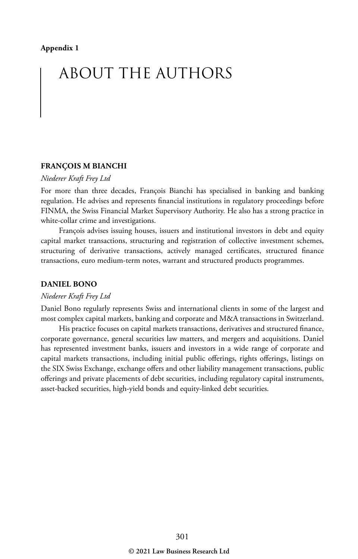### ABOUT THE AUTHORS

#### **FRANÇOIS M BIANCHI**

#### *Niederer Kraft Frey Ltd*

For more than three decades, François Bianchi has specialised in banking and banking regulation. He advises and represents financial institutions in regulatory proceedings before FINMA, the Swiss Financial Market Supervisory Authority. He also has a strong practice in white-collar crime and investigations.

François advises issuing houses, issuers and institutional investors in debt and equity capital market transactions, structuring and registration of collective investment schemes, structuring of derivative transactions, actively managed certificates, structured finance transactions, euro medium-term notes, warrant and structured products programmes.

#### **DANIEL BONO**

#### *Niederer Kraft Frey Ltd*

Daniel Bono regularly represents Swiss and international clients in some of the largest and most complex capital markets, banking and corporate and M&A transactions in Switzerland.

His practice focuses on capital markets transactions, derivatives and structured finance, corporate governance, general securities law matters, and mergers and acquisitions. Daniel has represented investment banks, issuers and investors in a wide range of corporate and capital markets transactions, including initial public offerings, rights offerings, listings on the SIX Swiss Exchange, exchange offers and other liability management transactions, public offerings and private placements of debt securities, including regulatory capital instruments, asset-backed securities, high-yield bonds and equity-linked debt securities.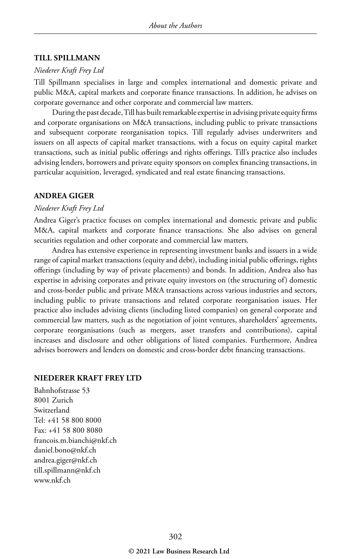#### **TILL SPILLMANN**

#### *Niederer Kraft Frey Ltd*

Till Spillmann specialises in large and complex international and domestic private and public M&A, capital markets and corporate finance transactions. In addition, he advises on corporate governance and other corporate and commercial law matters.

During the past decade, Till has built remarkable expertise in advising private equity firms and corporate organisations on M&A transactions, including public to private transactions and subsequent corporate reorganisation topics. Till regularly advises underwriters and issuers on all aspects of capital market transactions, with a focus on equity capital market transactions, such as initial public offerings and rights offerings. Till's practice also includes advising lenders, borrowers and private equity sponsors on complex financing transactions, in particular acquisition, leveraged, syndicated and real estate financing transactions.

#### **ANDREA GIGER**

#### *Niederer Kraft Frey Ltd*

Andrea Giger's practice focuses on complex international and domestic private and public M&A, capital markets and corporate finance transactions. She also advises on general securities regulation and other corporate and commercial law matters.

Andrea has extensive experience in representing investment banks and issuers in a wide range of capital market transactions (equity and debt), including initial public offerings, rights offerings (including by way of private placements) and bonds. In addition, Andrea also has expertise in advising corporates and private equity investors on (the structuring of) domestic and cross-border public and private M&A transactions across various industries and sectors, including public to private transactions and related corporate reorganisation issues. Her practice also includes advising clients (including listed companies) on general corporate and commercial law matters, such as the negotiation of joint ventures, shareholders' agreements, corporate reorganisations (such as mergers, asset transfers and contributions), capital increases and disclosure and other obligations of listed companies. Furthermore, Andrea advises borrowers and lenders on domestic and cross-border debt financing transactions.

#### **NIEDERER KRAFT FREY LTD**

Bahnhofstrasse 53 8001 Zurich Switzerland Tel: +41 58 800 8000 Fax: +41 58 800 8080 francois.m.bianchi@nkf.ch daniel.bono@nkf.ch andrea.giger@nkf.ch till.spillmann@nkf.ch www.nkf.ch